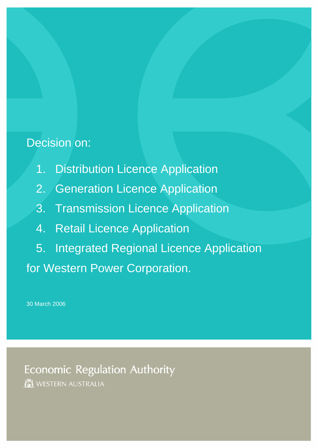## Decision on:

- 1. Distribution Licence Application
- 2. Generation Licence Application
- 3. Transmission Licence Application
- 4. Retail Licence Application
- 5. Integrated Regional Licence Application for Western Power Corporation.

30 March 2006

**Economic Regulation Authority** WESTERN AUSTRALIA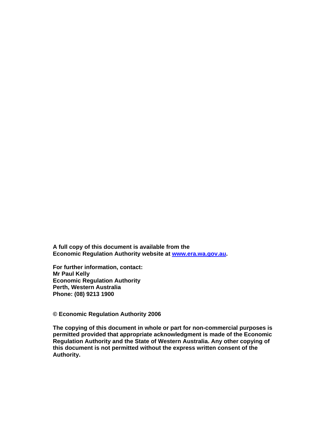**A full copy of this document is available from the Economic Regulation Authority website at [www.era.wa.gov.au](http://www.era.wa.gov.au/).** 

**For further information, contact: Mr Paul Kelly Economic Regulation Authority Perth, Western Australia Phone: (08) 9213 1900** 

## **© Economic Regulation Authority 2006**

**The copying of this document in whole or part for non-commercial purposes is permitted provided that appropriate acknowledgment is made of the Economic Regulation Authority and the State of Western Australia. Any other copying of this document is not permitted without the express written consent of the Authority.**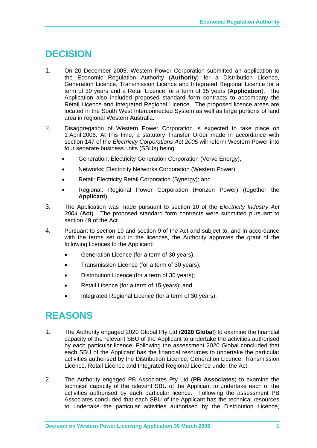## **DECISION**

- 1. On 20 December 2005, Western Power Corporation submitted an application to the Economic Regulation Authority (**Authority**) for a Distribution Licence, Generation Licence, Transmission Licence and Integrated Regional Licence for a term of 30 years and a Retail Licence for a term of 15 years (**Application**). The Application also included proposed standard form contracts to accompany the Retail Licence and Integrated Regional Licence. The proposed licence areas are located in the South West Interconnected System as well as large portions of land area in regional Western Australia.
- 2. Disaggregation of Western Power Corporation is expected to take place on 1 April 2006. At this time, a statutory Transfer Order made in accordance with section 147 of the *Electricity Corporations Act 2005* will reform Western Power into four separate business units (SBUs) being:
	- Generation: Electricity Generation Corporation (Verve Energy),
	- Networks: Electricity Networks Corporation (Western Power);
	- Retail: Electricity Retail Corporation (Synergy); and
	- Regional: Regional Power Corporation (Horizon Power) (together the **Applicant**).
- 3. The Application was made pursuant to section 10 of the *Electricity Industry Act 2004* (**Act**). The proposed standard form contracts were submitted pursuant to section 49 of the Act.
- 4. Pursuant to section 19 and section 9 of the Act and subject to, and in accordance with the terms set out in the licences, the Authority approves the grant of the following licences to the Applicant:
	- Generation Licence (for a term of 30 years);
	- Transmission Licence (for a term of 30 years);
	- Distribution Licence (for a term of 30 years);
	- Retail Licence (for a term of 15 years); and
	- Integrated Regional Licence (for a term of 30 years).

## **REASONS**

- 1. The Authority engaged 2020 Global Pty Ltd (**2020 Global**) to examine the financial capacity of the relevant SBU of the Applicant to undertake the activities authorised by each particular licence. Following the assessment 2020 Global concluded that each SBU of the Applicant has the financial resources to undertake the particular activities authorised by the Distribution Licence, Generation Licence, Transmission Licence, Retail Licence and Integrated Regional Licence under the Act.
- 2. The Authority engaged PB Associates Pty Ltd (**PB Associates**) to examine the technical capacity of the relevant SBU of the Applicant to undertake each of the activities authorised by each particular licence. Following the assessment PB Associates concluded that each SBU of the Applicant has the technical resources to undertake the particular activities authorised by the Distribution Licence,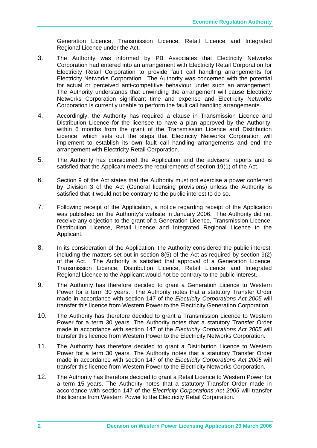Generation Licence, Transmission Licence, Retail Licence and Integrated Regional Licence under the Act.

- 3. The Authority was informed by PB Associates that Electricity Networks Corporation had entered into an arrangement with Electricity Retail Corporation for Electricity Retail Corporation to provide fault call handling arrangements for Electricity Networks Corporation. The Authority was concerned with the potential for actual or perceived anti-competitive behaviour under such an arrangement. The Authority understands that unwinding the arrangement will cause Electricity Networks Corporation significant time and expense and Electricity Networks Corporation is currently unable to perform the fault call handling arrangements.
- 4. Accordingly, the Authority has required a clause in Transmission Licence and Distribution Licence for the licensee to have a plan approved by the Authority, within 6 months from the grant of the Transmission Licence and Distribution Licence, which sets out the steps that Electricity Networks Corporation will implement to establish its own fault call handling arrangements and end the arrangement with Electricity Retail Corporation.
- 5. The Authority has considered the Application and the advisers' reports and is satisfied that the Applicant meets the requirements of section 19(1) of the Act.
- 6. Section 9 of the Act states that the Authority must not exercise a power conferred by Division 3 of the Act (General licensing provisions) unless the Authority is satisfied that it would not be contrary to the public interest to do so.
- 7. Following receipt of the Application, a notice regarding receipt of the Application was published on the Authority's website in January 2006. The Authority did not receive any objection to the grant of a Generation Licence, Transmission Licence, Distribution Licence, Retail Licence and Integrated Regional Licence to the Applicant.
- 8. In its consideration of the Application, the Authority considered the public interest, including the matters set out in section 8(5) of the Act as required by section 9(2) of the Act. The Authority is satisfied that approval of a Generation Licence, Transmission Licence, Distribution Licence, Retail Licence and Integrated Regional Licence to the Applicant would not be contrary to the public interest.
- 9. The Authority has therefore decided to grant a Generation Licence to Western Power for a term 30 years. The Authority notes that a statutory Transfer Order made in accordance with section 147 of the *Electricity Corporations Act 2005* will transfer this licence from Western Power to the Electricity Generation Corporation.
- 10. The Authority has therefore decided to grant a Transmission Licence to Western Power for a term 30 years. The Authority notes that a statutory Transfer Order made in accordance with section 147 of the *Electricity Corporations Act 2005* will transfer this licence from Western Power to the Electricity Networks Corporation.
- 11. The Authority has therefore decided to grant a Distribution Licence to Western Power for a term 30 years. The Authority notes that a statutory Transfer Order made in accordance with section 147 of the *Electricity Corporations Act 2005* will transfer this licence from Western Power to the Electricity Networks Corporation.
- 12. The Authority has therefore decided to grant a Retail Licence to Western Power for a term 15 years. The Authority notes that a statutory Transfer Order made in accordance with section 147 of the *Electricity Corporations Act 2005* will transfer this licence from Western Power to the Electricity Retail Corporation.